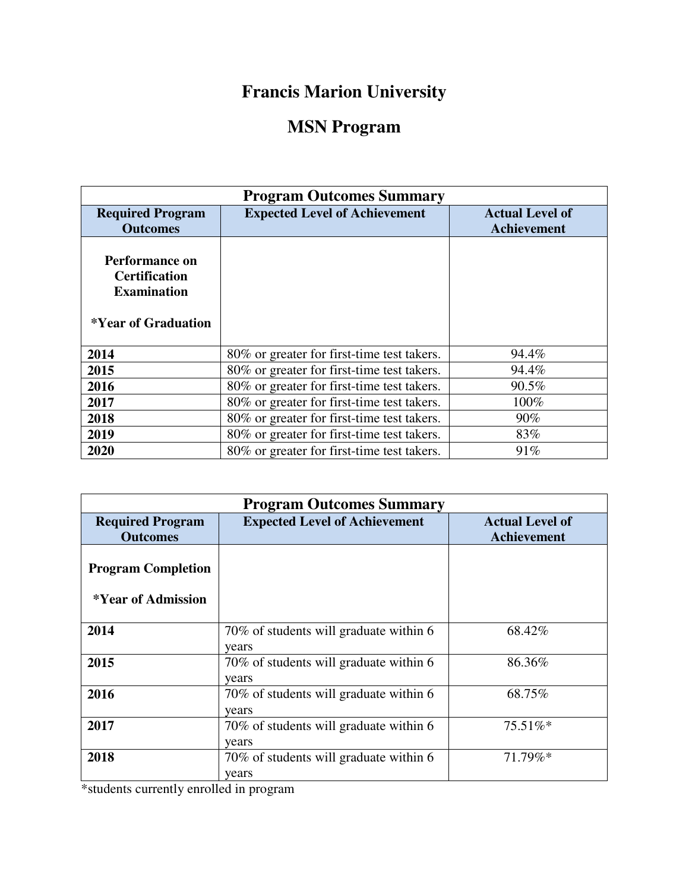## **Francis Marion University**

## **MSN Program**

| <b>Program Outcomes Summary</b>                                                     |                                            |                                              |  |
|-------------------------------------------------------------------------------------|--------------------------------------------|----------------------------------------------|--|
| <b>Required Program</b><br><b>Outcomes</b>                                          | <b>Expected Level of Achievement</b>       | <b>Actual Level of</b><br><b>Achievement</b> |  |
| Performance on<br><b>Certification</b><br><b>Examination</b><br>*Year of Graduation |                                            |                                              |  |
| 2014                                                                                | 80% or greater for first-time test takers. | 94.4%                                        |  |
| 2015                                                                                | 80% or greater for first-time test takers. | 94.4%                                        |  |
| 2016                                                                                | 80% or greater for first-time test takers. | 90.5%                                        |  |
| 2017                                                                                | 80% or greater for first-time test takers. | 100%                                         |  |
| 2018                                                                                | 80% or greater for first-time test takers. | 90%                                          |  |
| 2019                                                                                | 80% or greater for first-time test takers. | 83%                                          |  |
| 2020                                                                                | 80% or greater for first-time test takers. | 91%                                          |  |

| <b>Program Outcomes Summary</b>                 |                                                      |                                              |  |
|-------------------------------------------------|------------------------------------------------------|----------------------------------------------|--|
| <b>Required Program</b><br><b>Outcomes</b>      | <b>Expected Level of Achievement</b>                 | <b>Actual Level of</b><br><b>Achievement</b> |  |
| <b>Program Completion</b><br>*Year of Admission |                                                      |                                              |  |
| 2014                                            | 70% of students will graduate within 6<br>years      | 68.42%                                       |  |
| 2015                                            | 70% of students will graduate within 6<br>years      | 86.36%                                       |  |
| 2016                                            | 70% of students will graduate within 6<br>years      | 68.75%                                       |  |
| 2017                                            | 70% of students will graduate within 6<br>years      | 75.51%*                                      |  |
| 2018<br>$\mathbf{a}$ , and $\mathbf{a}$         | 70% of students will graduate within 6<br>years<br>. | 71.79%*                                      |  |

\*students currently enrolled in program